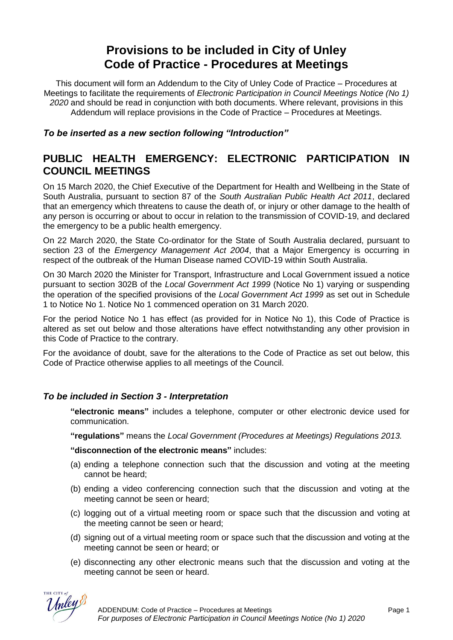# **Provisions to be included in City of Unley Code of Practice - Procedures at Meetings**

This document will form an Addendum to the City of Unley Code of Practice – Procedures at Meetings to facilitate the requirements of *Electronic Participation in Council Meetings Notice (No 1) 2020* and should be read in conjunction with both documents. Where relevant, provisions in this Addendum will replace provisions in the Code of Practice – Procedures at Meetings.

*To be inserted as a new section following "Introduction"*

# **PUBLIC HEALTH EMERGENCY: ELECTRONIC PARTICIPATION IN COUNCIL MEETINGS**

On 15 March 2020, the Chief Executive of the Department for Health and Wellbeing in the State of South Australia, pursuant to section 87 of the *South Australian Public Health Act 2011*, declared that an emergency which threatens to cause the death of, or injury or other damage to the health of any person is occurring or about to occur in relation to the transmission of COVID-19, and declared the emergency to be a public health emergency.

On 22 March 2020, the State Co-ordinator for the State of South Australia declared, pursuant to section 23 of the *Emergency Management Act 2004*, that a Major Emergency is occurring in respect of the outbreak of the Human Disease named COVID-19 within South Australia.

On 30 March 2020 the Minister for Transport, Infrastructure and Local Government issued a notice pursuant to section 302B of the *Local Government Act 1999* (Notice No 1) varying or suspending the operation of the specified provisions of the *Local Government Act 1999* as set out in Schedule 1 to Notice No 1. Notice No 1 commenced operation on 31 March 2020.

For the period Notice No 1 has effect (as provided for in Notice No 1), this Code of Practice is altered as set out below and those alterations have effect notwithstanding any other provision in this Code of Practice to the contrary.

For the avoidance of doubt, save for the alterations to the Code of Practice as set out below, this Code of Practice otherwise applies to all meetings of the Council.

## *To be included in Section 3 - Interpretation*

**"electronic means"** includes a telephone, computer or other electronic device used for communication.

**"regulations"** means the *Local Government (Procedures at Meetings) Regulations 2013.*

**"disconnection of the electronic means"** includes:

- (a) ending a telephone connection such that the discussion and voting at the meeting cannot be heard;
- (b) ending a video conferencing connection such that the discussion and voting at the meeting cannot be seen or heard;
- (c) logging out of a virtual meeting room or space such that the discussion and voting at the meeting cannot be seen or heard;
- (d) signing out of a virtual meeting room or space such that the discussion and voting at the meeting cannot be seen or heard; or
- (e) disconnecting any other electronic means such that the discussion and voting at the meeting cannot be seen or heard.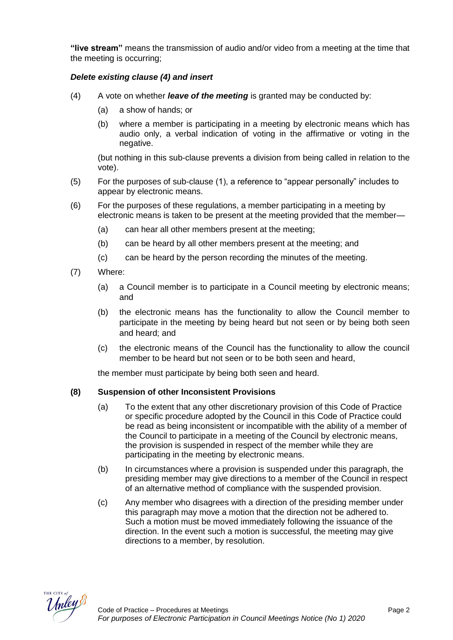**"live stream"** means the transmission of audio and/or video from a meeting at the time that the meeting is occurring;

#### *Delete existing clause (4) and insert*

- (4) A vote on whether *leave of the meeting* is granted may be conducted by:
	- (a) a show of hands; or
	- (b) where a member is participating in a meeting by electronic means which has audio only, a verbal indication of voting in the affirmative or voting in the negative.

(but nothing in this sub-clause prevents a division from being called in relation to the vote).

- (5) For the purposes of sub-clause (1), a reference to "appear personally" includes to appear by electronic means.
- (6) For the purposes of these regulations, a member participating in a meeting by electronic means is taken to be present at the meeting provided that the member—
	- (a) can hear all other members present at the meeting;
	- (b) can be heard by all other members present at the meeting; and
	- (c) can be heard by the person recording the minutes of the meeting.
- (7) Where:
	- (a) a Council member is to participate in a Council meeting by electronic means; and
	- (b) the electronic means has the functionality to allow the Council member to participate in the meeting by being heard but not seen or by being both seen and heard; and
	- (c) the electronic means of the Council has the functionality to allow the council member to be heard but not seen or to be both seen and heard,

the member must participate by being both seen and heard.

#### **(8) Suspension of other Inconsistent Provisions**

- (a) To the extent that any other discretionary provision of this Code of Practice or specific procedure adopted by the Council in this Code of Practice could be read as being inconsistent or incompatible with the ability of a member of the Council to participate in a meeting of the Council by electronic means, the provision is suspended in respect of the member while they are participating in the meeting by electronic means.
- (b) In circumstances where a provision is suspended under this paragraph, the presiding member may give directions to a member of the Council in respect of an alternative method of compliance with the suspended provision.
- (c) Any member who disagrees with a direction of the presiding member under this paragraph may move a motion that the direction not be adhered to. Such a motion must be moved immediately following the issuance of the direction. In the event such a motion is successful, the meeting may give directions to a member, by resolution.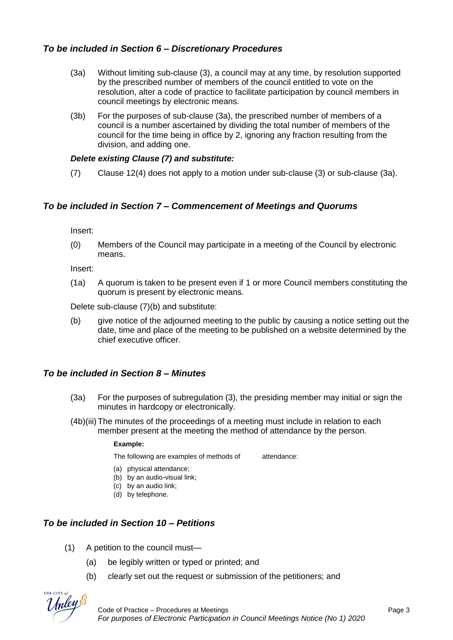# *To be included in Section 6 – Discretionary Procedures*

- (3a) Without limiting sub-clause (3), a council may at any time, by resolution supported by the prescribed number of members of the council entitled to vote on the resolution, alter a code of practice to facilitate participation by council members in council meetings by electronic means.
- (3b) For the purposes of sub-clause (3a), the prescribed number of members of a council is a number ascertained by dividing the total number of members of the council for the time being in office by 2, ignoring any fraction resulting from the division, and adding one.

## *Delete existing Clause (7) and substitute:*

(7) Clause 12(4) does not apply to a motion under sub-clause (3) or sub-clause (3a).

# *To be included in Section 7 – Commencement of Meetings and Quorums*

Insert:

(0) Members of the Council may participate in a meeting of the Council by electronic means.

Insert:

(1a) A quorum is taken to be present even if 1 or more Council members constituting the quorum is present by electronic means.

Delete sub-clause (7)(b) and substitute:

(b) give notice of the adjourned meeting to the public by causing a notice setting out the date, time and place of the meeting to be published on a website determined by the chief executive officer.

# *To be included in Section 8 – Minutes*

- (3a) For the purposes of subregulation (3), the presiding member may initial or sign the minutes in hardcopy or electronically.
- (4b)(iii) The minutes of the proceedings of a meeting must include in relation to each member present at the meeting the method of attendance by the person.

#### **Example:**

The following are examples of methods of attendance:

- (a) physical attendance;
- (b) by an audio-visual link;
- (c) by an audio link;
- (d) by telephone.

# *To be included in Section 10 – Petitions*

- (1) A petition to the council must—
	- (a) be legibly written or typed or printed; and
	- (b) clearly set out the request or submission of the petitioners; and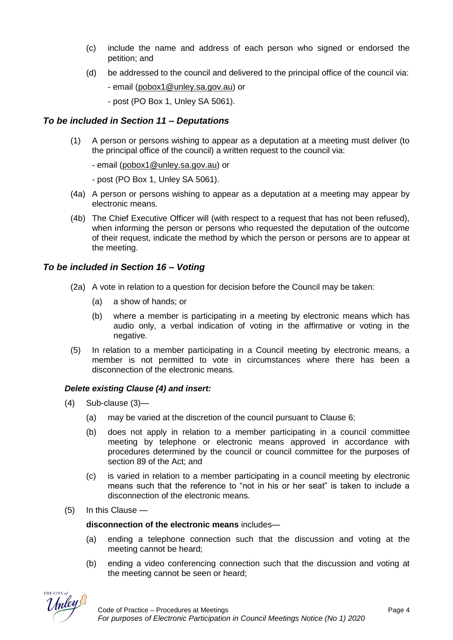- (c) include the name and address of each person who signed or endorsed the petition; and
- (d) be addressed to the council and delivered to the principal office of the council via:

- email [\(pobox1@unley.sa.gov.au\)](mailto:pobox1@unley.sa.gov.au) or

- post (PO Box 1, Unley SA 5061).

## *To be included in Section 11 – Deputations*

(1) A person or persons wishing to appear as a deputation at a meeting must deliver (to the principal office of the council) a written request to the council via:

- email [\(pobox1@unley.sa.gov.au\)](mailto:pobox1@unley.sa.gov.au) or

- post (PO Box 1, Unley SA 5061).

- (4a) A person or persons wishing to appear as a deputation at a meeting may appear by electronic means.
- (4b) The Chief Executive Officer will (with respect to a request that has not been refused), when informing the person or persons who requested the deputation of the outcome of their request, indicate the method by which the person or persons are to appear at the meeting.

# *To be included in Section 16 – Voting*

- (2a) A vote in relation to a question for decision before the Council may be taken:
	- (a) a show of hands; or
	- (b) where a member is participating in a meeting by electronic means which has audio only, a verbal indication of voting in the affirmative or voting in the negative.
- (5) In relation to a member participating in a Council meeting by electronic means, a member is not permitted to vote in circumstances where there has been a disconnection of the electronic means.

## *Delete existing Clause (4) and insert:*

- (4) Sub-clause (3)—
	- (a) may be varied at the discretion of the council pursuant to Clause 6;
	- (b) does not apply in relation to a member participating in a council committee meeting by telephone or electronic means approved in accordance with procedures determined by the council or council committee for the purposes of section 89 of the Act; and
	- (c) is varied in relation to a member participating in a council meeting by electronic means such that the reference to "not in his or her seat" is taken to include a disconnection of the electronic means.
- (5) In this Clause —

**disconnection of the electronic means** includes—

- (a) ending a telephone connection such that the discussion and voting at the meeting cannot be heard;
- (b) ending a video conferencing connection such that the discussion and voting at the meeting cannot be seen or heard;